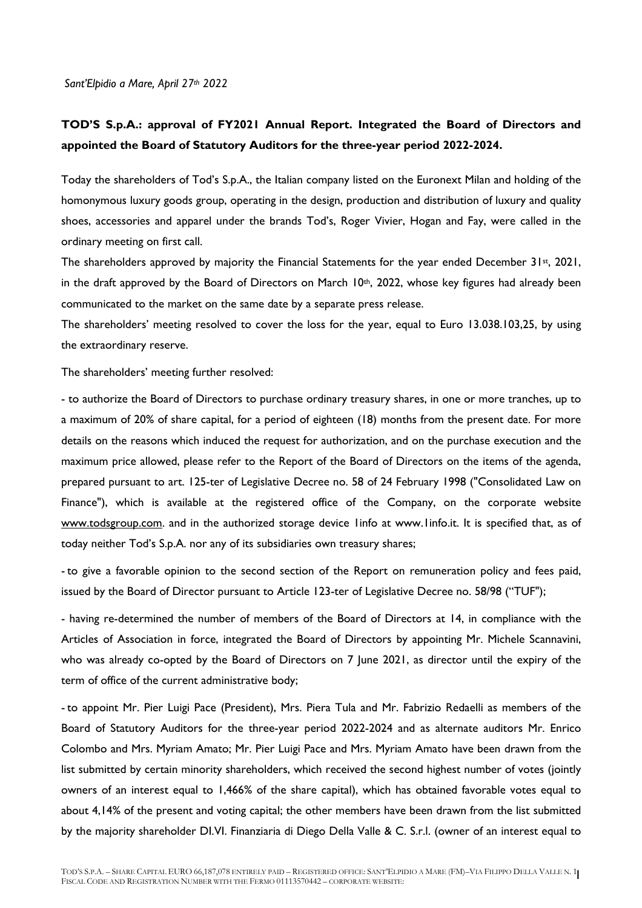*Sant'Elpidio a Mare, April 27th 2022*

## **TOD'S S.p.A.: approval of FY2021 Annual Report. Integrated the Board of Directors and appointed the Board of Statutory Auditors for the three-year period 2022-2024.**

Today the shareholders of Tod's S.p.A., the Italian company listed on the Euronext Milan and holding of the homonymous luxury goods group, operating in the design, production and distribution of luxury and quality shoes, accessories and apparel under the brands Tod's, Roger Vivier, Hogan and Fay, were called in the ordinary meeting on first call.

The shareholders approved by majority the Financial Statements for the year ended December  $31st$ , 2021, in the draft approved by the Board of Directors on March 10<sup>th</sup>, 2022, whose key figures had already been communicated to the market on the same date by a separate press release.

The shareholders' meeting resolved to cover the loss for the year, equal to Euro 13.038.103,25, by using the extraordinary reserve.

The shareholders' meeting further resolved:

- to authorize the Board of Directors to purchase ordinary treasury shares, in one or more tranches, up to a maximum of 20% of share capital, for a period of eighteen (18) months from the present date. For more details on the reasons which induced the request for authorization, and on the purchase execution and the maximum price allowed, please refer to the Report of the Board of Directors on the items of the agenda, prepared pursuant to art. 125-ter of Legislative Decree no. 58 of 24 February 1998 ("Consolidated Law on Finance"), which is available at the registered office of the Company, on the corporate website www.todsgroup.com. and in the authorized storage device 1info at www.1info.it. It is specified that, as of today neither Tod's S.p.A. nor any of its subsidiaries own treasury shares;

- to give a favorable opinion to the second section of the Report on remuneration policy and fees paid, issued by the Board of Director pursuant to Article 123-ter of Legislative Decree no. 58/98 ("TUF");

- having re-determined the number of members of the Board of Directors at 14, in compliance with the Articles of Association in force, integrated the Board of Directors by appointing Mr. Michele Scannavini, who was already co-opted by the Board of Directors on 7 June 2021, as director until the expiry of the term of office of the current administrative body;

- to appoint Mr. Pier Luigi Pace (President), Mrs. Piera Tula and Mr. Fabrizio Redaelli as members of the Board of Statutory Auditors for the three-year period 2022-2024 and as alternate auditors Mr. Enrico Colombo and Mrs. Myriam Amato; Mr. Pier Luigi Pace and Mrs. Myriam Amato have been drawn from the list submitted by certain minority shareholders, which received the second highest number of votes (jointly owners of an interest equal to 1,466% of the share capital), which has obtained favorable votes equal to about 4,14% of the present and voting capital; the other members have been drawn from the list submitted by the majority shareholder DI.VI. Finanziaria di Diego Della Valle & C. S.r.l. (owner of an interest equal to